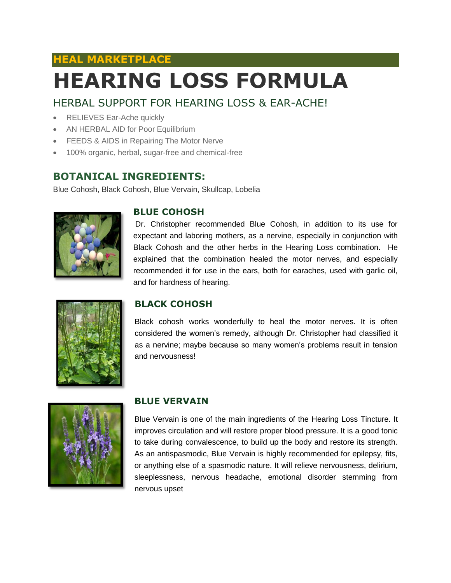# **HEAL MARKETPLACE HEARING LOSS FORMULA**

## HERBAL SUPPORT FOR HEARING LOSS & EAR-ACHE!

- RELIEVES Ear-Ache quickly
- AN HERBAL AID for Poor Equilibrium
- **FEEDS & AIDS in Repairing The Motor Nerve**
- 100% organic, herbal, sugar-free and chemical-free

### **BOTANICAL INGREDIENTS:**

Blue Cohosh, Black Cohosh, Blue Vervain, Skullcap, Lobelia



#### **BLUE COHOSH**

Dr. Christopher recommended Blue Cohosh, in addition to its use for expectant and laboring mothers, as a nervine, especially in conjunction with Black Cohosh and the other herbs in the Hearing Loss combination. He explained that the combination healed the motor nerves, and especially recommended it for use in the ears, both for earaches, used with garlic oil, and for hardness of hearing.



#### **BLACK COHOSH**

Black cohosh works wonderfully to heal the motor nerves. It is often considered the women's remedy, although Dr. Christopher had classified it as a nervine; maybe because so many women's problems result in tension and nervousness!



#### **BLUE VERVAIN**

Blue Vervain is one of the main ingredients of the Hearing Loss Tincture. It improves circulation and will restore proper blood pressure. It is a good tonic to take during convalescence, to build up the body and restore its strength. As an antispasmodic, Blue Vervain is highly recommended for epilepsy, fits, or anything else of a spasmodic nature. It will relieve nervousness, delirium, sleeplessness, nervous headache, emotional disorder stemming from nervous upset